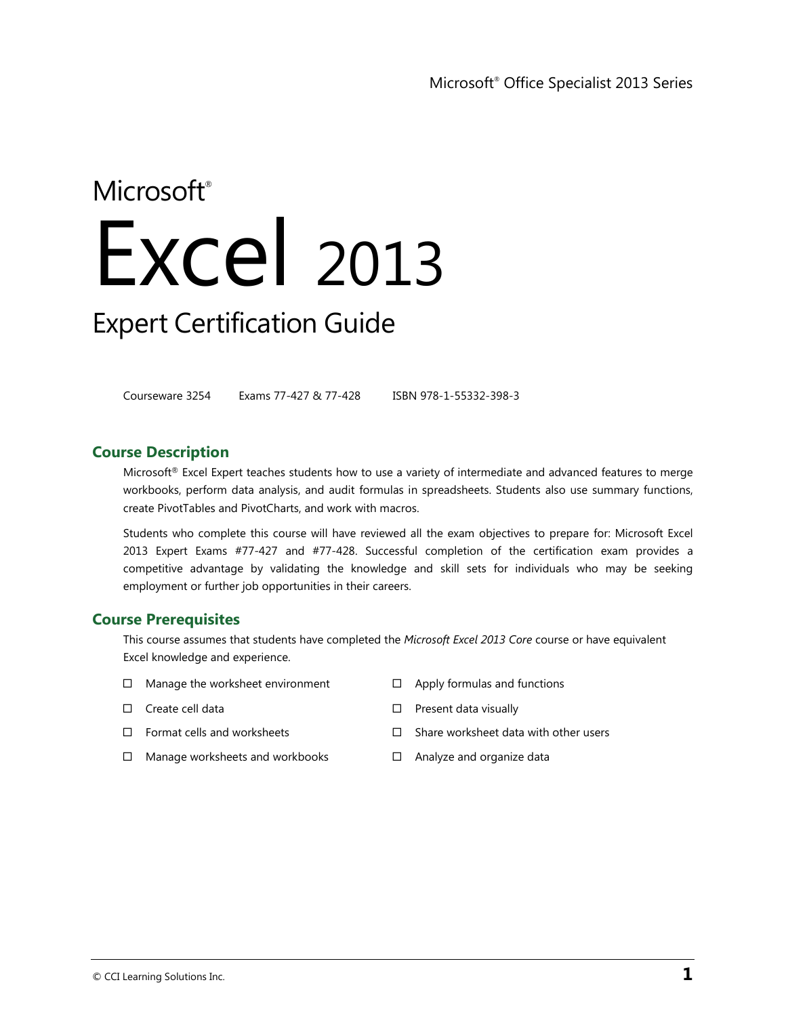# Microsoft<sup>®</sup> Excel 2013 Expert Certification Guide

Courseware 3254 Exams 77-427 & 77-428 ISBN 978-1-55332-398-3

## **Course Description**

Microsoft<sup>®</sup> Excel Expert teaches students how to use a variety of intermediate and advanced features to merge workbooks, perform data analysis, and audit formulas in spreadsheets. Students also use summary functions, create PivotTables and PivotCharts, and work with macros.

Students who complete this course will have reviewed all the exam objectives to prepare for: Microsoft Excel 2013 Expert Exams #77-427 and #77-428. Successful completion of the certification exam provides a competitive advantage by validating the knowledge and skill sets for individuals who may be seeking employment or further job opportunities in their careers.

#### **Course Prerequisites**

This course assumes that students have completed the *Microsoft Excel 2013 Core* course or have equivalent Excel knowledge and experience.

- $\Box$  Manage the worksheet environment
- $\Box$  Create cell data
- $\square$  Format cells and worksheets
- $\Box$  Manage worksheets and workbooks
- $\Box$  Apply formulas and functions
- $\square$  Present data visually
- $\Box$  Share worksheet data with other users
- □ Analyze and organize data